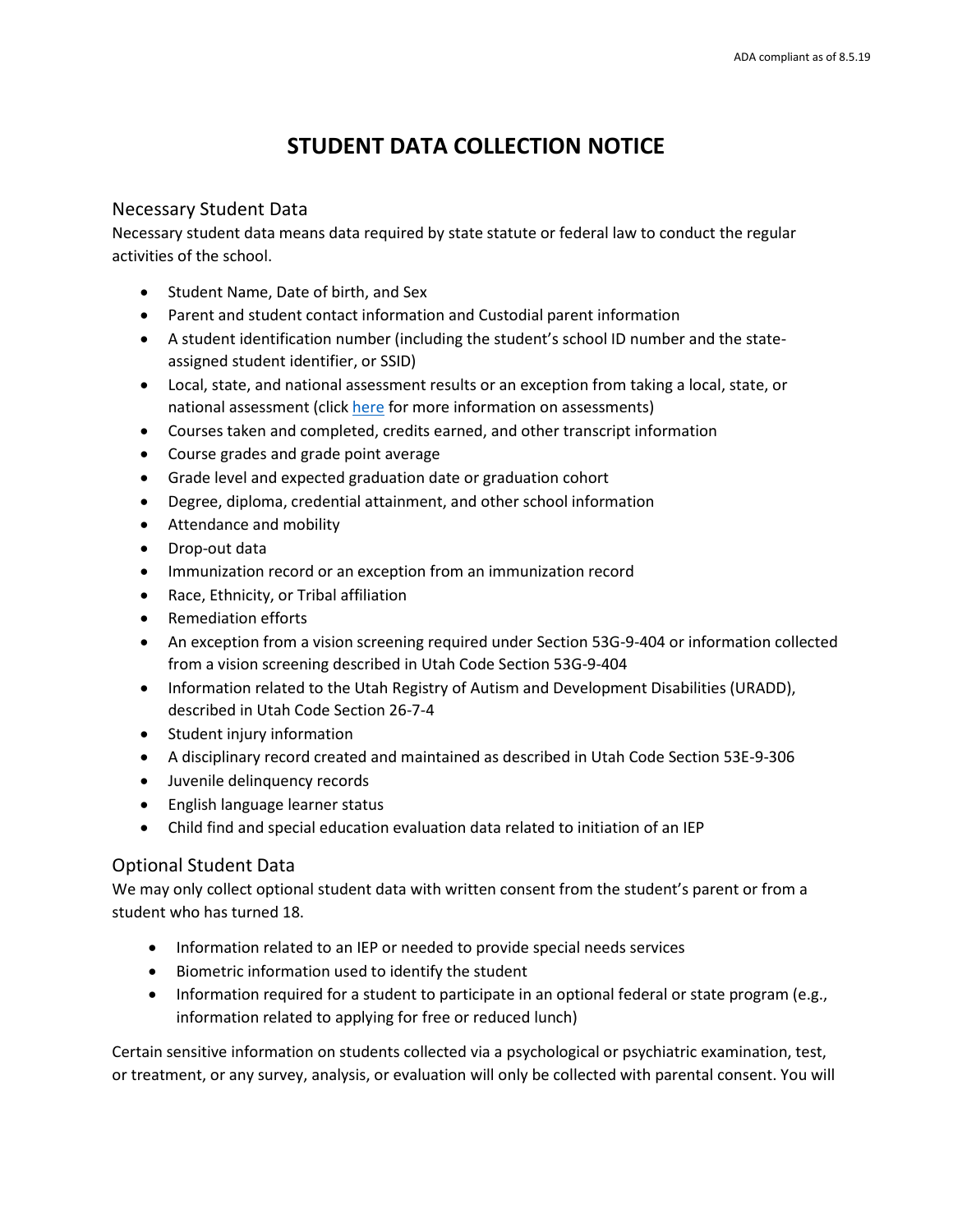# **STUDENT DATA COLLECTION NOTICE**

#### Necessary Student Data

Necessary student data means data required by state statute or federal law to conduct the regular activities of the school.

- Student Name, Date of birth, and Sex
- Parent and student contact information and Custodial parent information
- A student identification number (including the student's school ID number and the stateassigned student identifier, or SSID)
- Local, state, and national assessment results or an exception from taking a local, state, or national assessment (clic[k here](https://schools.utah.gov/assessment/assessments) for more information on assessments)
- Courses taken and completed, credits earned, and other transcript information
- Course grades and grade point average
- Grade level and expected graduation date or graduation cohort
- Degree, diploma, credential attainment, and other school information
- Attendance and mobility
- Drop-out data
- Immunization record or an exception from an immunization record
- Race, Ethnicity, or Tribal affiliation
- Remediation efforts
- An exception from a vision screening required under Section 53G-9-404 or information collected from a vision screening described in Utah Code Section 53G-9-404
- Information related to the Utah Registry of Autism and Development Disabilities (URADD), described in Utah Code Section 26-7-4
- Student injury information
- A disciplinary record created and maintained as described in Utah Code Section 53E-9-306
- Juvenile delinquency records
- **•** English language learner status
- Child find and special education evaluation data related to initiation of an IEP

### Optional Student Data

We may only collect optional student data with written consent from the student's parent or from a student who has turned 18.

- Information related to an IEP or needed to provide special needs services
- Biometric information used to identify the student
- Information required for a student to participate in an optional federal or state program (e.g., information related to applying for free or reduced lunch)

Certain sensitive information on students collected via a psychological or psychiatric examination, test, or treatment, or any survey, analysis, or evaluation will only be collected with parental consent. You will